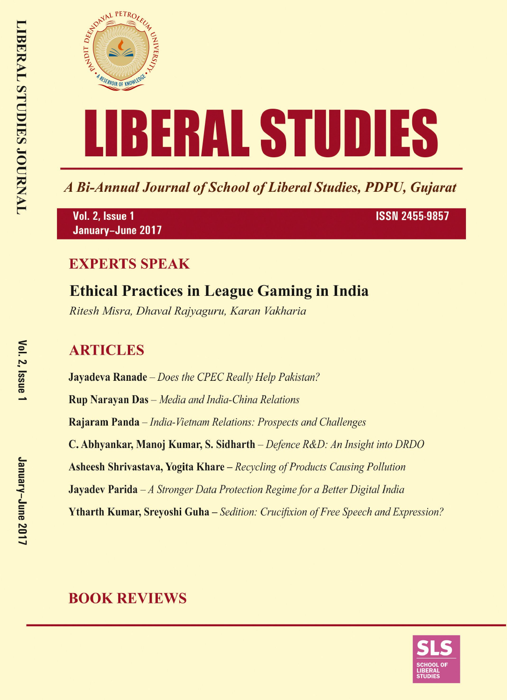

A Bi-Annual Journal of School of Liberal Studies, PDPU, Gujarat

Vol. 2, Issue 1 January-June 2017 **ISSN 2455-9857** 

#### **EXPERTS SPEAK**

# **Ethical Practices in League Gaming in India**

Ritesh Misra, Dhaval Rajyaguru, Karan Vakharia

## **ARTICLES**

**Jayadeva Ranade** – Does the CPEC Really Help Pakistan? **Rup Narayan Das** - Media and India-China Relations Rajaram Panda – India-Vietnam Relations: Prospects and Challenges C. Abhyankar, Manoj Kumar, S. Sidharth – Defence R&D: An Insight into DRDO **Asheesh Shrivastava, Yogita Khare** – Recycling of Products Causing Pollution **Jayadev Parida**  $-A$  Stronger Data Protection Regime for a Better Digital India **Ytharth Kumar, Srevoshi Guha** – Sedition: Crucifixion of Free Speech and Expression?

### **BOOK REVIEWS**

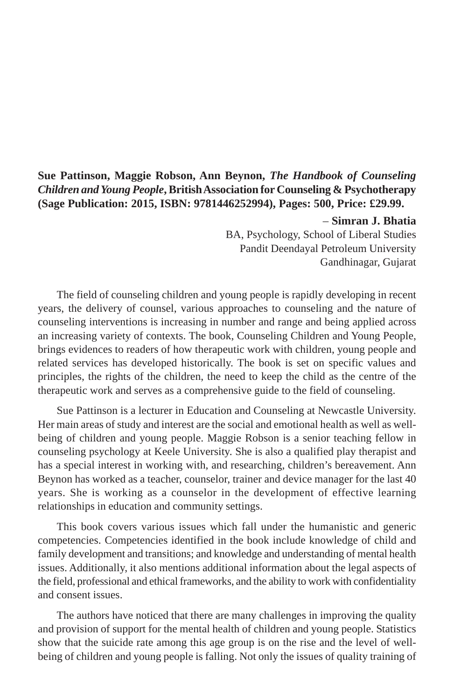#### **Sue Pattinson, Maggie Robson, Ann Beynon,** *The Handbook of Counseling Children and Young People***, British Association for Counseling & Psychotherapy (Sage Publication: 2015, ISBN: 9781446252994), Pages: 500, Price: £29.99.**

#### – **Simran J. Bhatia**

 BA, Psychology, School of Liberal Studies Pandit Deendayal Petroleum University Gandhinagar, Gujarat

The field of counseling children and young people is rapidly developing in recent years, the delivery of counsel, various approaches to counseling and the nature of counseling interventions is increasing in number and range and being applied across an increasing variety of contexts. The book, Counseling Children and Young People, brings evidences to readers of how therapeutic work with children, young people and related services has developed historically. The book is set on specific values and principles, the rights of the children, the need to keep the child as the centre of the therapeutic work and serves as a comprehensive guide to the field of counseling.

Sue Pattinson is a lecturer in Education and Counseling at Newcastle University. Her main areas of study and interest are the social and emotional health as well as wellbeing of children and young people. Maggie Robson is a senior teaching fellow in counseling psychology at Keele University. She is also a qualified play therapist and has a special interest in working with, and researching, children's bereavement. Ann Beynon has worked as a teacher, counselor, trainer and device manager for the last 40 years. She is working as a counselor in the development of effective learning relationships in education and community settings.

This book covers various issues which fall under the humanistic and generic competencies. Competencies identified in the book include knowledge of child and family development and transitions; and knowledge and understanding of mental health issues. Additionally, it also mentions additional information about the legal aspects of the field, professional and ethical frameworks, and the ability to work with confidentiality and consent issues.

The authors have noticed that there are many challenges in improving the quality and provision of support for the mental health of children and young people. Statistics show that the suicide rate among this age group is on the rise and the level of wellbeing of children and young people is falling. Not only the issues of quality training of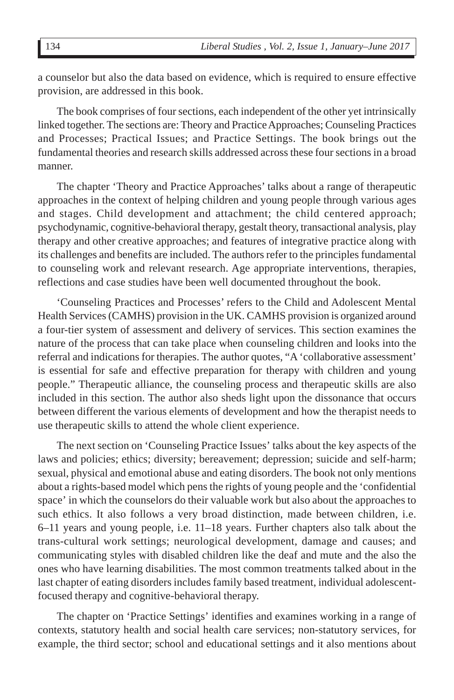a counselor but also the data based on evidence, which is required to ensure effective provision, are addressed in this book.

The book comprises of four sections, each independent of the other yet intrinsically linked together. The sections are: Theory and Practice Approaches; Counseling Practices and Processes; Practical Issues; and Practice Settings. The book brings out the fundamental theories and research skills addressed across these four sections in a broad manner.

The chapter 'Theory and Practice Approaches' talks about a range of therapeutic approaches in the context of helping children and young people through various ages and stages. Child development and attachment; the child centered approach; psychodynamic, cognitive-behavioral therapy, gestalt theory, transactional analysis, play therapy and other creative approaches; and features of integrative practice along with its challenges and benefits are included. The authors refer to the principles fundamental to counseling work and relevant research. Age appropriate interventions, therapies, reflections and case studies have been well documented throughout the book.

'Counseling Practices and Processes' refers to the Child and Adolescent Mental Health Services (CAMHS) provision in the UK. CAMHS provision is organized around a four-tier system of assessment and delivery of services. This section examines the nature of the process that can take place when counseling children and looks into the referral and indications for therapies. The author quotes, "A 'collaborative assessment' is essential for safe and effective preparation for therapy with children and young people." Therapeutic alliance, the counseling process and therapeutic skills are also included in this section. The author also sheds light upon the dissonance that occurs between different the various elements of development and how the therapist needs to use therapeutic skills to attend the whole client experience.

The next section on 'Counseling Practice Issues' talks about the key aspects of the laws and policies; ethics; diversity; bereavement; depression; suicide and self-harm; sexual, physical and emotional abuse and eating disorders. The book not only mentions about a rights-based model which pens the rights of young people and the 'confidential space' in which the counselors do their valuable work but also about the approaches to such ethics. It also follows a very broad distinction, made between children, i.e. 6–11 years and young people, i.e. 11–18 years. Further chapters also talk about the trans-cultural work settings; neurological development, damage and causes; and communicating styles with disabled children like the deaf and mute and the also the ones who have learning disabilities. The most common treatments talked about in the last chapter of eating disorders includes family based treatment, individual adolescentfocused therapy and cognitive-behavioral therapy.

The chapter on 'Practice Settings' identifies and examines working in a range of contexts, statutory health and social health care services; non-statutory services, for example, the third sector; school and educational settings and it also mentions about